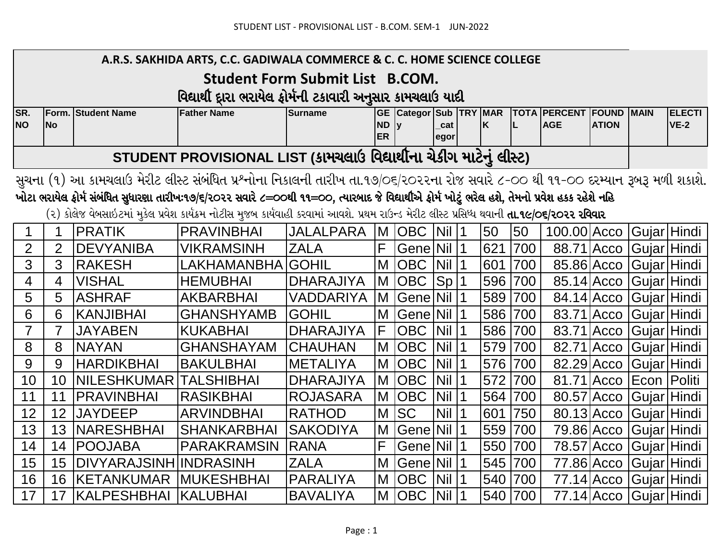|                  |                |                           | A.R.S. SAKHIDA ARTS, C.C. GADIWALA COMMERCE & C. C. HOME SCIENCE COLLEGE                                                                                      |                                        |                        |                               |             |           |         |         |                                         |              |                            |                              |
|------------------|----------------|---------------------------|---------------------------------------------------------------------------------------------------------------------------------------------------------------|----------------------------------------|------------------------|-------------------------------|-------------|-----------|---------|---------|-----------------------------------------|--------------|----------------------------|------------------------------|
|                  |                |                           |                                                                                                                                                               | <b>Student Form Submit List B.COM.</b> |                        |                               |             |           |         |         |                                         |              |                            |                              |
|                  |                |                           | વિદ્યાર્થી દ્વારા ભરાયેલ ફોર્મની ટકાવારી અનુસાર કામચલાઉ યાદી                                                                                                  |                                        |                        |                               |             |           |         |         |                                         |              |                            |                              |
| SR.<br><b>NO</b> | No             | <b>Form. Student Name</b> | <b>Father Name</b>                                                                                                                                            | <b>Surname</b>                         | <b>ND</b><br><b>ER</b> | <b>GE Categor Sub TRY MAR</b> | cat<br>egor |           | İΚ      | IL.     | <b>TOTA PERCENT FOUND</b><br><b>AGE</b> | <b>ATION</b> | <b>MAIN</b>                | <b>ELECTI</b><br><b>VE-2</b> |
|                  |                |                           | STUDENT PROVISIONAL LIST (કામચલાઉ વિદ્યાર્થીના ચેકીગ માટેનું લીસ્ટ)                                                                                           |                                        |                        |                               |             |           |         |         |                                         |              |                            |                              |
|                  |                |                           | સુચના (૧) આ કામચલાઉ મેરીટ લીસ્ટ સંબંધિત પ્રશ્નોના નિકાલની તારીખ તા.૧૭/૦૬/ર૦૨૨ના રોજ સવારે ૮-૦૦ થી ૧૧-૦૦ દરમ્યાન રૂબરૂ મળી શકાશે.                              |                                        |                        |                               |             |           |         |         |                                         |              |                            |                              |
|                  |                |                           | ખોટા ભરાયેલ ફોર્મ સંબંધિત સુધાર <mark>શા તારીખઃ૧૭/૬/૨૦૨૨ સવારે ૮=૦૦થી ૧૧=૦૦, ત્</mark> યારબાદ જે વિદ્યાર્થીએ ફોર્મ ખોટું ભરેલ હશે, તેમનો પ્રવેશ હકક રહેશે નહિ |                                        |                        |                               |             |           |         |         |                                         |              |                            |                              |
|                  |                |                           | (૨) કોલેજ વેબસાઇટમાં મુકેલ પ્રવેશ કાર્યક્રમ નોટીસ મુજબ કાર્યવાહી કરવામાં આવશે. પ્રથમ રાઉન્ડ મેરીટ લીસ્ટ પ્રસિધ્ધ થવાની <b>તા.૧૯/૦૬/૨૦૨૨ રવિવાર</b>            |                                        |                        |                               |             |           |         |         |                                         |              |                            |                              |
| 1                | 1              | <b>PRATIK</b>             | <b>PRAVINBHAI</b>                                                                                                                                             | <b>JALALPARA</b>                       |                        | M OBC Nil 1                   |             |           | 50      | 50      | 100.00 Acco                             |              | Gujar Hindi                |                              |
| $\overline{2}$   | $\overline{2}$ | <b>DEVYANIBA</b>          | <b>VIKRAMSINH</b>                                                                                                                                             | <b>ZALA</b>                            | F                      | Gene Nil 1                    |             |           | 621     | 700     |                                         |              | 88.71 Acco Gujar Hindi     |                              |
| 3                | 3              | RAKESH                    | <b>LAKHAMANBHA</b>                                                                                                                                            | <b>IGOHIL</b>                          |                        | M OBC Nil 1                   |             |           | 601     | 700     |                                         |              | 85.86 Acco   Gujar   Hindi |                              |
| $\overline{4}$   | 4              | <b>VISHAL</b>             | <b>HEMUBHAI</b>                                                                                                                                               | <b>DHARAJIYA</b>                       |                        | M OBC                         | Sp 1        |           | 596     | 700     | 85.14 Acco                              |              | Gujar Hindi                |                              |
| 5                | 5              | <b>ASHRAF</b>             | <b>AKBARBHAI</b>                                                                                                                                              | <b>VADDARIYA</b>                       |                        | M Gene Nil 1                  |             |           | 589 700 |         |                                         |              | 84.14 Acco Gujar Hindi     |                              |
| 6                | 6              | <b>KANJIBHAI</b>          | <b>GHANSHYAMB</b>                                                                                                                                             | <b>GOHIL</b>                           |                        | M Gene Nil 1                  |             |           |         | 586 700 | 83.71 Acco                              |              | Gujar Hindi                |                              |
| $\overline{7}$   | $\overline{7}$ | <b>JAYABEN</b>            | <b>KUKABHAI</b>                                                                                                                                               | <b>DHARAJIYA</b>                       | F                      | OBC                           | Nil         | $\vert$ 1 | 586 700 |         | 83.71 Acco                              |              | Gujar Hindi                |                              |
| 8                | 8              | <b>NAYAN</b>              | <b>GHANSHAYAM</b>                                                                                                                                             | <b>CHAUHAN</b>                         |                        | M OBC                         | Nil         | $\vert$ 1 | 579     | 700     | 82.71 Acco                              |              | Gujar Hindi                |                              |
| 9                | 9              | <b>HARDIKBHAI</b>         | <b>BAKULBHAI</b>                                                                                                                                              | <b>METALIYA</b>                        |                        | M OBC                         | Nil         | $\vert$ 1 | 576     | 700     |                                         |              | 82.29 Acco   Gujar   Hindi |                              |
| 10               | 10             | <b>NILESHKUMAR</b>        | <b>TALSHIBHAI</b>                                                                                                                                             | <b>DHARAJIYA</b>                       |                        | M OBC                         | Nil         | $\vert$ 1 | 572     | 700     |                                         |              | 81.71 Acco Econ Politi     |                              |
| 11               | 11             | <b>PRAVINBHAI</b>         | <b>RASIKBHAI</b>                                                                                                                                              | <b>ROJASARA</b>                        |                        | M OBC                         | <b>Nil</b>  | $\vert$ 1 | 564     | 700     | 80.57 Acco                              |              | Gujar Hindi                |                              |
| 12               | 12             | <b>JAYDEEP</b>            | <b>ARVINDBHAI</b>                                                                                                                                             | <b>RATHOD</b>                          |                        | M SC                          | <b>Nil</b>  | $\vert$ 1 | 601 750 |         |                                         |              | 80.13 Acco   Gujar   Hindi |                              |
| 13               | 13             | <b>NARESHBHAI</b>         | <b>SHANKARBHAI</b>                                                                                                                                            | <b>SAKODIYA</b>                        |                        | M Gene Nil 1                  |             |           | 559     | 700     |                                         |              | 79.86 Acco Gujar Hindi     |                              |
| 14               | 14             | <b>POOJABA</b>            | <b>PARAKRAMSIN</b>                                                                                                                                            | <b>RANA</b>                            | F                      | Gene Nil                      |             | $\vert$ 1 | 550     | 700     |                                         | 78.57 Acco   | Gujar Hindi                |                              |
| 15               | 15             | DIVYARAJSINH INDRASINH    |                                                                                                                                                               | <b>ZALA</b>                            | M                      | Gene Nil                      |             | $\vert$ 1 | 545     | 700     | 77.86 Acco                              |              | Gujar Hindi                |                              |
| 16               | 16             | <b>IKETANKUMAR</b>        | <b>MUKESHBHAI</b>                                                                                                                                             | PARALIYA                               |                        | M OBC Nil 1                   |             |           | 540 700 |         |                                         |              | 77.14 Acco   Gujar   Hindi |                              |
| 17               | 17             | <b>KALPESHBHAI</b>        | <b>KALUBHAI</b>                                                                                                                                               | <b>BAVALIYA</b>                        |                        | M OBC Nil                     |             |           | 540 700 |         |                                         |              | 77.14 Acco Gujar Hindi     |                              |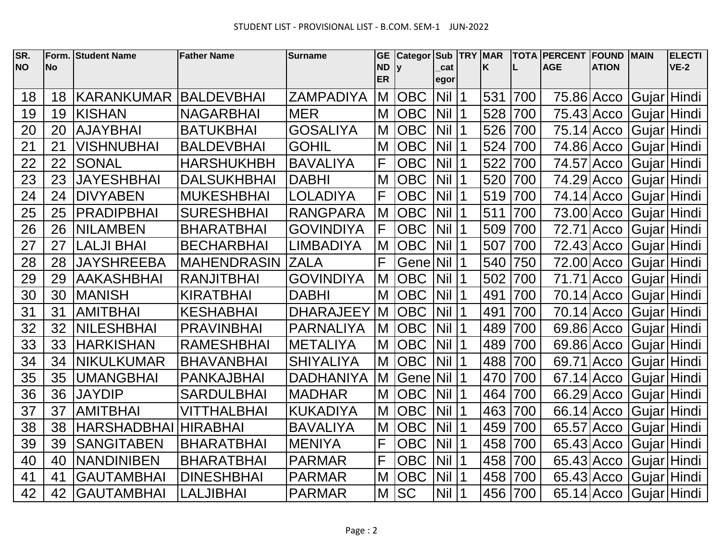| SR.<br><b>NO</b> | Form.<br><b>No</b> | <b>Student Name</b> | <b>Father Name</b> | <b>Surname</b>   | <b>GE</b><br><b>ND</b> | <b>Categor</b> |             | Sub TRY MAR | K   |     | <b>TOTA PERCENT</b><br><b>AGE</b> | <b>FOUND</b><br><b>ATION</b> | <b>MAIN</b> | <b>ELECTI</b><br>$VE-2$ |
|------------------|--------------------|---------------------|--------------------|------------------|------------------------|----------------|-------------|-------------|-----|-----|-----------------------------------|------------------------------|-------------|-------------------------|
|                  |                    |                     |                    |                  | <b>ER</b>              |                | cat<br>egor |             |     |     |                                   |                              |             |                         |
| 18               | 18                 | <b>KARANKUMAR</b>   | <b>BALDEVBHAI</b>  | <b>ZAMPADIYA</b> | M                      | <b>OBC</b>     | $Nil$  1    |             | 531 | 700 | 75.86 Acco                        |                              | Gujar Hindi |                         |
| 19               | 19                 | <b>KISHAN</b>       | <b>NAGARBHAI</b>   | <b>MER</b>       | M                      | <b>OBC</b>     | $Nil$  1    |             | 528 | 700 | 75.43 Acco                        |                              | Gujar Hindi |                         |
| 20               | 20                 | <b>AJAYBHAI</b>     | <b>BATUKBHAI</b>   | <b>GOSALIYA</b>  | M                      | <b>OBC</b>     | <b>Nil</b>  | 1           | 526 | 700 | 75.14 Acco                        |                              | Gujar Hindi |                         |
| 21               | 21                 | <b>VISHNUBHAI</b>   | <b>BALDEVBHAI</b>  | <b>GOHIL</b>     | M                      | <b>OBC</b>     | <b>Nil</b>  | 1           | 524 | 700 | 74.86 Acco                        |                              | Gujar Hindi |                         |
| 22               | 22                 | <b>SONAL</b>        | <b>HARSHUKHBH</b>  | <b>BAVALIYA</b>  | F                      | <b>OBC</b>     | <b>Nil</b>  |             | 522 | 700 | 74.57 Acco                        |                              | Gujar Hindi |                         |
| 23               | 23                 | <b>JAYESHBHAI</b>   | <b>DALSUKHBHAI</b> | <b>DABHI</b>     | M                      | <b>OBC</b>     | <b>Nil</b>  | $\vert$ 1   | 520 | 700 | 74.29 Acco                        |                              | Gujar Hindi |                         |
| 24               | 24                 | <b>DIVYABEN</b>     | <b>MUKESHBHAI</b>  | <b>LOLADIYA</b>  | F                      | <b>OBC</b>     | <b>Nil</b>  | $\vert$ 1   | 519 | 700 | 74.14 Acco                        |                              | Gujar Hindi |                         |
| 25               | 25                 | <b>PRADIPBHAI</b>   | <b>SURESHBHAI</b>  | <b>RANGPARA</b>  | M                      | <b>OBC</b>     | Nil         |             | 511 | 700 | 73.00 Acco                        |                              | Gujar Hindi |                         |
| 26               | 26                 | <b>NILAMBEN</b>     | <b>BHARATBHAI</b>  | <b>GOVINDIYA</b> | F                      | <b>OBC</b>     | <b>Nil</b>  | $\vert$ 1   | 509 | 700 | 72.71 Acco                        |                              | Gujar Hindi |                         |
| 27               | 27                 | <b>LALJI BHAI</b>   | <b>BECHARBHAI</b>  | <b>LIMBADIYA</b> | M                      | <b>OBC</b>     | <b>Nil</b>  | 1           | 507 | 700 | 72.43 Acco                        |                              | Gujar Hindi |                         |
| 28               | 28                 | <b>JAYSHREEBA</b>   | <b>MAHENDRASIN</b> | <b>ZALA</b>      | F                      | Gene           | <b>Nil</b>  |             | 540 | 750 |                                   | 72.00 Acco                   | Gujar Hindi |                         |
| 29               | 29                 | <b>AAKASHBHAI</b>   | <b>RANJITBHAI</b>  | <b>GOVINDIYA</b> | M                      | <b>OBC</b>     | <b>Nil</b>  |             | 502 | 700 | 71.71 Acco                        |                              | Gujar Hindi |                         |
| 30               | 30                 | <b>MANISH</b>       | <b>KIRATBHAI</b>   | <b>DABHI</b>     | M                      | <b>OBC</b>     | Nil 1       |             | 491 | 700 |                                   | 70.14 Acco                   | Gujar Hindi |                         |
| 31               | 31                 | <b>AMITBHAI</b>     | <b>KESHABHAI</b>   | <b>DHARAJEEY</b> | M                      | <b>OBC</b>     | $Nil$  1    |             | 491 | 700 |                                   | 70.14 Acco                   | Gujar Hindi |                         |
| 32               | 32                 | <b>NILESHBHAI</b>   | <b>PRAVINBHAI</b>  | <b>PARNALIYA</b> | M                      | <b>OBC</b>     | Nil         |             | 489 | 700 | 69.86 Acco                        |                              | Gujar Hindi |                         |
| 33               | 33                 | <b>HARKISHAN</b>    | <b>RAMESHBHAI</b>  | <b>METALIYA</b>  | M                      | <b>OBC</b>     | $Nil$  1    |             | 489 | 700 |                                   | 69.86 Acco                   | Gujar Hindi |                         |
| 34               | 34                 | <b>NIKULKUMAR</b>   | <b>BHAVANBHAI</b>  | <b>SHIYALIYA</b> | M                      | <b>OBC</b>     | <b>Nil</b>  |             | 488 | 700 | 69.71 Acco                        |                              | Gujar Hindi |                         |
| 35               | 35                 | <b>UMANGBHAI</b>    | <b>PANKAJBHAI</b>  | <b>DADHANIYA</b> | M                      | Gene           | Nil         |             | 470 | 700 | 67.14 Acco                        |                              | Gujar Hindi |                         |
| 36               | 36                 | <b>JAYDIP</b>       | <b>SARDULBHAI</b>  | <b>MADHAR</b>    | M                      | <b>OBC</b>     | <b>Nil</b>  |             | 464 | 700 | 66.29 Acco                        |                              | Gujar Hindi |                         |
| 37               | 37                 | <b>AMITBHAI</b>     | <b>VITTHALBHAI</b> | <b>KUKADIYA</b>  | M                      | <b>OBC</b>     | <b>Nil</b>  | $\vert$ 1   | 463 | 700 | 66.14 Acco                        |                              | Gujar Hindi |                         |
| 38               | 38                 | <b>HARSHADBHAI</b>  | <b>HIRABHAI</b>    | <b>BAVALIYA</b>  | M                      | <b>OBC</b>     | <b>Nil</b>  |             | 459 | 700 | 65.57 Acco                        |                              | Gujar Hindi |                         |
| 39               | 39                 | <b>SANGITABEN</b>   | <b>BHARATBHAI</b>  | <b>MENIYA</b>    | F                      | <b>OBC</b>     | <b>Nil</b>  |             | 458 | 700 | 65.43 Acco                        |                              | Gujar Hindi |                         |
| 40               | 40                 | <b>NANDINIBEN</b>   | <b>BHARATBHAI</b>  | <b>PARMAR</b>    | F                      | <b>OBC</b>     | Nil         |             | 458 | 700 | $65.43$ Acco                      |                              | Gujar Hindi |                         |
| 41               | 41                 | <b>GAUTAMBHAI</b>   | <b>DINESHBHAI</b>  | <b>PARMAR</b>    | M                      | <b>OBC</b>     | <b>Nil</b>  |             | 458 | 700 | 65.43 Acco                        |                              | Gujar Hindi |                         |
| 42               | 42                 | <b>GAUTAMBHAI</b>   | <b>LALJIBHAI</b>   | <b>PARMAR</b>    | M                      | <b>SC</b>      | Nil         | 1           | 456 | 700 |                                   | 65.14 Acco                   | Gujar Hindi |                         |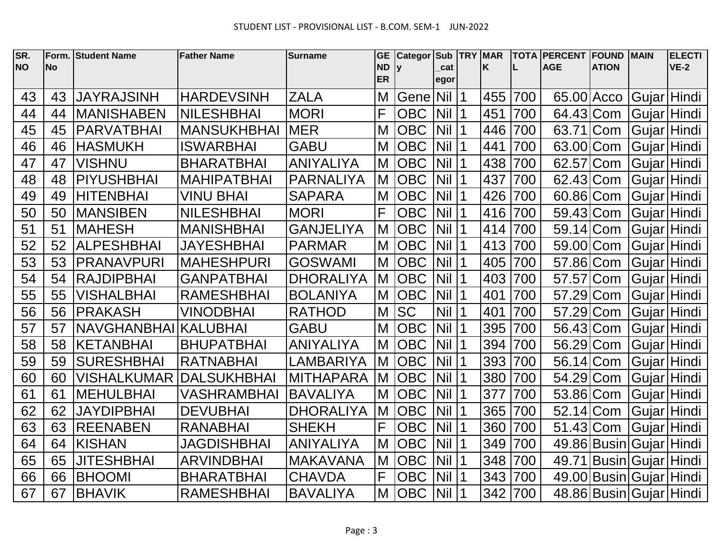| SR.       | Form.     | <b>Student Name</b> | <b>Father Name</b> | <b>Surname</b>   | <b>GE</b>              | <b>Categor</b> |             | Sub   TRY   MAR |     |     | <b>TOTA PERCENT</b><br><b>AGE</b> | <b>FOUND</b>                  | <b>MAIN</b> | <b>ELECTI</b><br><b>VE-2</b> |
|-----------|-----------|---------------------|--------------------|------------------|------------------------|----------------|-------------|-----------------|-----|-----|-----------------------------------|-------------------------------|-------------|------------------------------|
| <b>NO</b> | <b>No</b> |                     |                    |                  | <b>ND</b><br><b>ER</b> | lv             | cat<br>egor |                 | K   |     |                                   | <b>ATION</b>                  |             |                              |
| 43        | 43        | <b>JAYRAJSINH</b>   | <b>HARDEVSINH</b>  | <b>ZALA</b>      | M                      | Gene           | Nil         | $\vert$ 1       | 455 | 700 | 65.00 Acco                        |                               | Gujar Hindi |                              |
| 44        | 44        | <b>MANISHABEN</b>   | <b>NILESHBHAI</b>  | <b>MORI</b>      | F                      | <b>OBC</b>     | Nil 1       |                 | 451 | 700 | 64.43 Com                         |                               | Gujar Hindi |                              |
| 45        | 45        | <b>PARVATBHAI</b>   | <b>MANSUKHBHAI</b> | <b>MER</b>       | M                      | <b>OBC</b>     | <b>Nil</b>  | $\vert$ 1       | 446 | 700 | 63.71                             | Com                           | Gujar Hindi |                              |
| 46        | 46        | <b>HASMUKH</b>      | <b>ISWARBHAI</b>   | <b>GABU</b>      | M                      | <b>OBC</b>     | <b>Nil</b>  | $\overline{11}$ | 441 | 700 | 63.00                             | Com                           | Gujar Hindi |                              |
| 47        | 47        | <b>VISHNU</b>       | <b>BHARATBHAI</b>  | <b>ANIYALIYA</b> | M                      | <b>OBC</b>     | <b>Nil</b>  | $\overline{11}$ | 438 | 700 | 62.57 Com                         |                               | Gujar Hindi |                              |
| 48        | 48        | <b>PIYUSHBHAI</b>   | <b>MAHIPATBHAI</b> | <b>PARNALIYA</b> | M                      | <b>OBC</b>     | <b>Nil</b>  | $\vert$ 1       | 437 | 700 | 62.43 Com                         |                               | Gujar Hindi |                              |
| 49        | 49        | <b>HITENBHAI</b>    | <b>VINU BHAI</b>   | <b>SAPARA</b>    | M                      | <b>OBC</b>     | <b>Nil</b>  | $\overline{11}$ | 426 | 700 | 60.86 Com                         |                               | Gujar Hindi |                              |
| 50        | 50        | <b>MANSIBEN</b>     | <b>NILESHBHAI</b>  | <b>MORI</b>      | F                      | <b>OBC</b>     | <b>Nil</b>  | $\vert$ 1       | 416 | 700 | 59.43 Com                         |                               | Gujar Hindi |                              |
| 51        | 51        | <b>MAHESH</b>       | <b>MANISHBHAI</b>  | <b>GANJELIYA</b> | M                      | <b>OBC</b>     | <b>Nil</b>  | $\vert$ 1       | 414 | 700 | 59.14 Com                         |                               | Gujar Hindi |                              |
| 52        | 52        | <b>ALPESHBHAI</b>   | <b>JAYESHBHAI</b>  | <b>PARMAR</b>    | M                      | <b>OBC</b>     | <b>Nil</b>  | $\vert$ 1       | 413 | 700 | 59.00 Com                         |                               | Gujar Hindi |                              |
| 53        | 53        | <b>PRANAVPURI</b>   | <b>MAHESHPURI</b>  | <b>GOSWAMI</b>   | M                      | <b>OBC</b>     | <b>Nil</b>  | $\overline{11}$ | 405 | 700 | 57.86 Com                         |                               | Gujar Hindi |                              |
| 54        | 54        | <b>RAJDIPBHAI</b>   | <b>GANPATBHAI</b>  | <b>DHORALIYA</b> | M                      | <b>OBC</b>     | <b>Nil</b>  | $\vert$ 1       | 403 | 700 | 57.57 Com                         |                               | Gujar Hindi |                              |
| 55        | 55        | <b>VISHALBHAI</b>   | <b>RAMESHBHAI</b>  | <b>BOLANIYA</b>  | M                      | <b>OBC</b>     | <b>Nil</b>  | $\vert$ 1       | 401 | 700 | 57.29 Com                         |                               | Gujar Hindi |                              |
| 56        | 56        | <b>PRAKASH</b>      | <b>VINODBHAI</b>   | <b>RATHOD</b>    | M                      | <b>SC</b>      | <b>Nil</b>  | $\vert$ 1       | 401 | 700 | 57.29 Com                         |                               | Gujar Hindi |                              |
| 57        | 57        | <b>NAVGHANBHAI</b>  | <b>KALUBHAI</b>    | <b>GABU</b>      | M                      | <b>OBC</b>     | <b>Nil</b>  | $\vert$ 1       | 395 | 700 | 56.43 Com                         |                               | Gujar Hindi |                              |
| 58        | 58        | <b>KETANBHAI</b>    | <b>BHUPATBHAI</b>  | <b>ANIYALIYA</b> | M                      | <b>OBC</b>     | <b>Nil</b>  | $\vert$ 1       | 394 | 700 | 56.29 Com                         |                               | Gujar Hindi |                              |
| 59        | 59        | <b>SURESHBHAI</b>   | <b>RATNABHAI</b>   | LAMBARIYA        | M                      | <b>OBC</b>     | <b>Nil</b>  | $\vert$ 1       | 393 | 700 | 56.14 Com                         |                               | Gujar Hindi |                              |
| 60        | 60        | VISHALKUMAR         | <b>DALSUKHBHAI</b> | <b>MITHAPARA</b> | M                      | <b>OBC</b>     | <b>Nil</b>  | 11              | 380 | 700 | 54.29 Com                         |                               | Gujar Hindi |                              |
| 61        | 61        | <b>MEHULBHAI</b>    | <b>VASHRAMBHAI</b> | <b>BAVALIYA</b>  | M                      | <b>OBC</b>     | <b>Nil</b>  | $\overline{11}$ | 377 | 700 | 53.86 Com                         |                               | Gujar Hindi |                              |
| 62        | 62        | <b>JAYDIPBHAI</b>   | <b>DEVUBHAI</b>    | <b>DHORALIYA</b> | M                      | <b>OBC</b>     | <b>Nil</b>  | $\vert$ 1       | 365 | 700 | 52.14 Com                         |                               | Gujar Hindi |                              |
| 63        | 63        | <b>REENABEN</b>     | <b>RANABHAI</b>    | <b>SHEKH</b>     | F                      | <b>OBC</b>     | <b>Nil</b>  | $\vert$ 1       | 360 | 700 | 51.43 Com                         |                               | Gujar Hindi |                              |
| 64        | 64        | <b>KISHAN</b>       | JAGDISHBHAI        | <b>ANIYALIYA</b> | M                      | <b>OBC</b>     | <b>Nil</b>  | 1               | 349 | 700 |                                   | 49.86   Busin   Gujar   Hindi |             |                              |
| 65        | 65        | <b>JITESHBHAI</b>   | <b>ARVINDBHAI</b>  | <b>MAKAVANA</b>  | M                      | <b>OBC</b>     | <b>Nil</b>  |                 | 348 | 700 | 49.71                             | Busin Gujar Hindi             |             |                              |
| 66        | 66        | <b>BHOOMI</b>       | <b>BHARATBHAI</b>  | <b>CHAVDA</b>    | F                      | <b>OBC</b>     | <b>Nil</b>  | $\overline{11}$ | 343 | 700 |                                   | 49.00 Busin Gujar Hindi       |             |                              |
| 67        | 67        | <b>BHAVIK</b>       | <b>RAMESHBHAI</b>  | <b>BAVALIYA</b>  | M                      | <b>OBC</b>     | <b>Nil</b>  | $\vert$ 1       | 342 | 700 |                                   | 48.86 Busin Gujar Hindi       |             |                              |